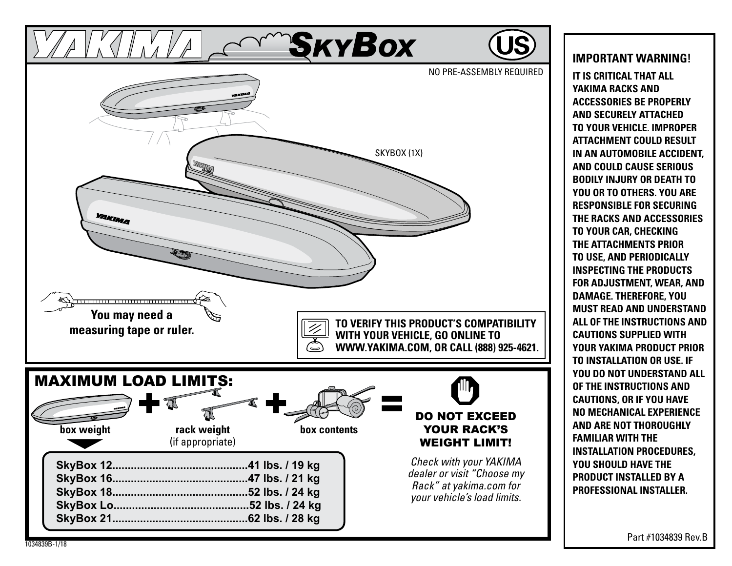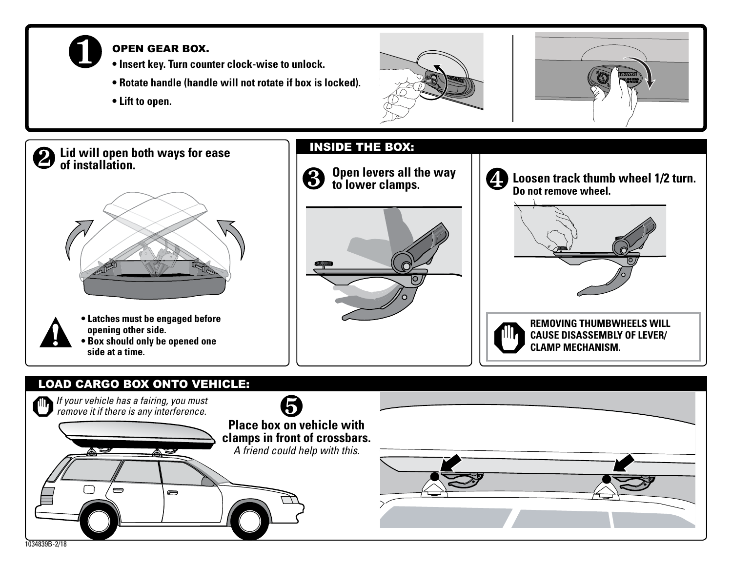

2

#### Open gear box.

- **Insert key. Turn counter clock-wise to unlock.**
- **Rotate handle (handle will not rotate if box is locked).**
- **Lift to open.**







# LOAD CARGO BOX ONTO VEHICLE: *If your vehicle has a fairing, you must*  6 *remove it if there is any interference.* **Place box on vehicle with clamps in front of crossbars.** *A friend could help with this.*  $\rightarrow$  $\blacksquare$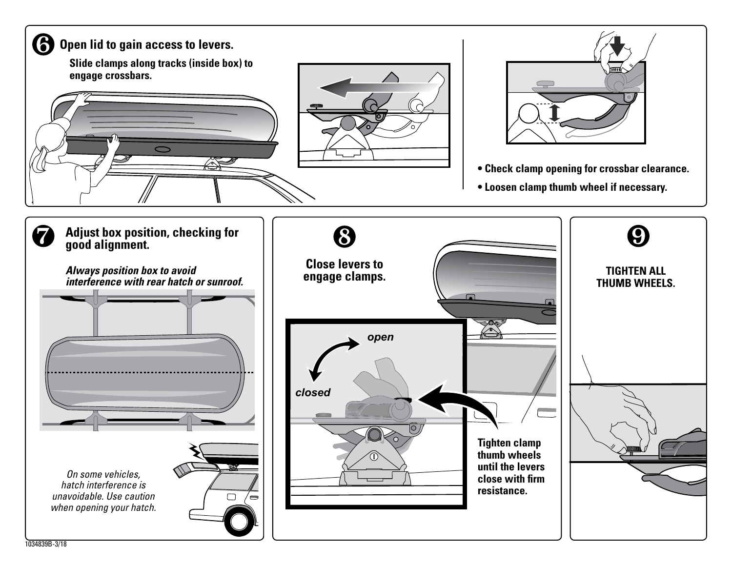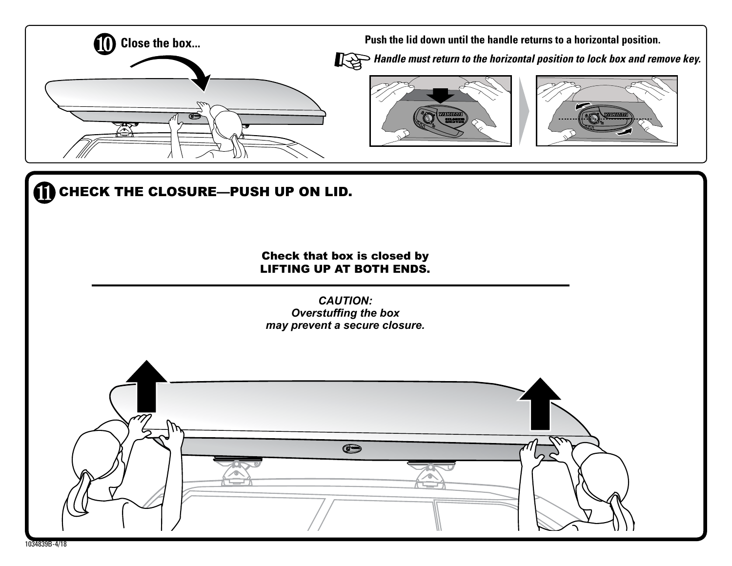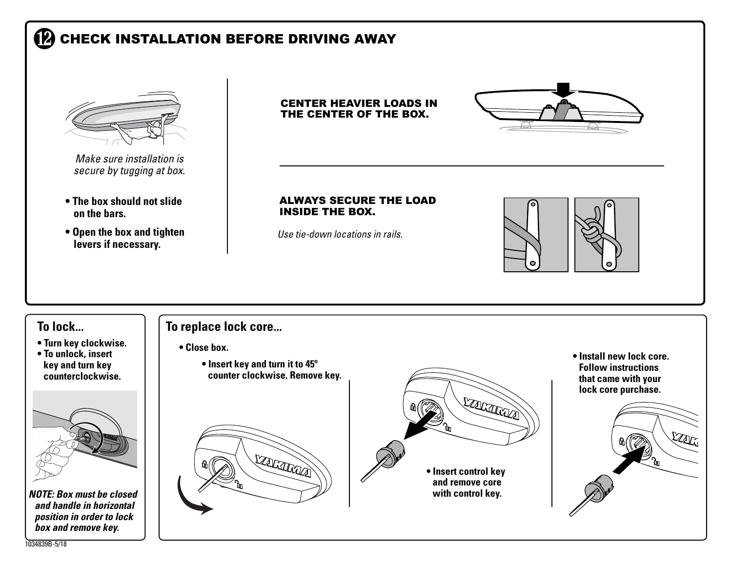# **P** CHECK INSTALLATION BEFORE DRIVING AWAY



*NOTE: Box must be closed and handle in horizontal position in order to lock box and remove key.*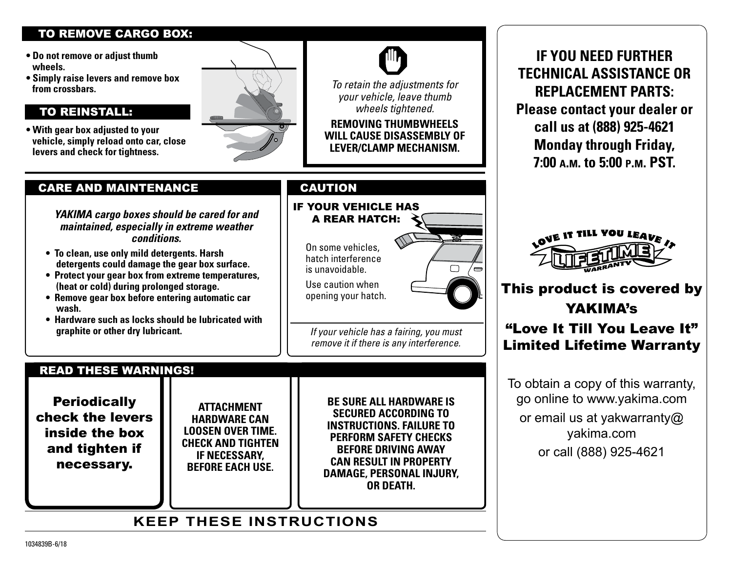#### TO REMOVE CARGO BOX:

- **Do not remove or adjust thumb wheels.**
- **Simply raise levers and remove box from crossbars.**

#### To reinstall:

**• With gear box adjusted to your vehicle, simply reload onto car, close levers and check for tightness.**



#### CARE AND MAINTENANCE

*YAKIMA cargo boxes should be cared for and maintained, especially in extreme weather conditions.*

- **To clean, use only mild detergents. Harsh detergents could damage the gear box surface.**
- **Protect your gear box from extreme temperatures, (heat or cold) during prolonged storage.**
- **Remove gear box before entering automatic car wash.**
- **Hardware such as locks should be lubricated with graphite or other dry lubricant.**

On some vehicles, hatch interference

If your vehicle has a rear hatch:

Use caution when opening your hatch.

is unavoidable.

CAUTION



*If your vehicle has a fairing, you must remove it if there is any interference.* 

*To retain the adjustments for your vehicle, leave thumb wheels tightened.* **Removing thumbwheels will cause disassembly of lever/clamp mechanism.**

READ THESE WARNINGS!

**Periodically** check the levers inside the box and tighten if necessary.

**Attachment hardware can loosen over time. Check and tighten if necessary , before each use.**

**Be sure all hardware is secured according to instructions. Failure to perform safety checks before driving away can result in property damage, personal injury , or death .**

### **KEEP THESE INSTRUCTIONS**

**If you need further technical assistance or replacement parts : Please contact your dealer or call us at (888) 925-4621 Monday through Friday, 7:00 a.m. to 5:00 p.m. PST.**



# This product is covered by YAKIMA's "Love It Till You Leave It" Limited Lifetime Warranty

To obtain a copy of this warranty, go online to www.yakima.com or email us at yakwarranty@ yakima.com or call (888) 925-4621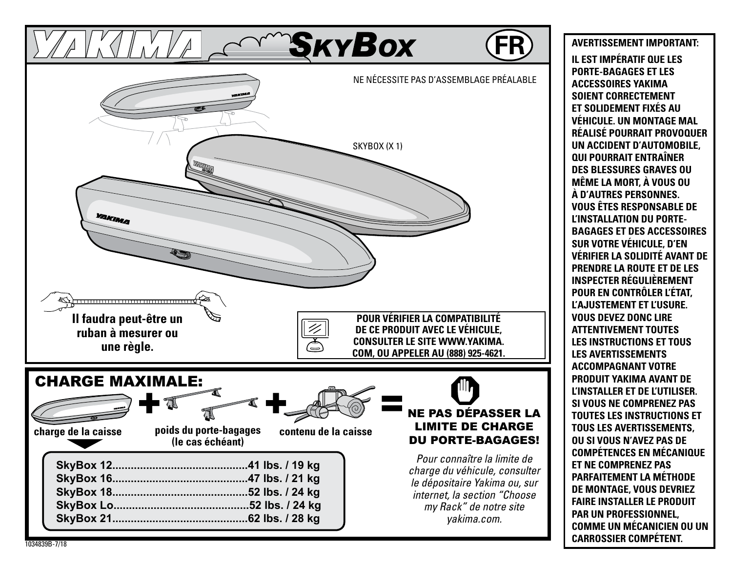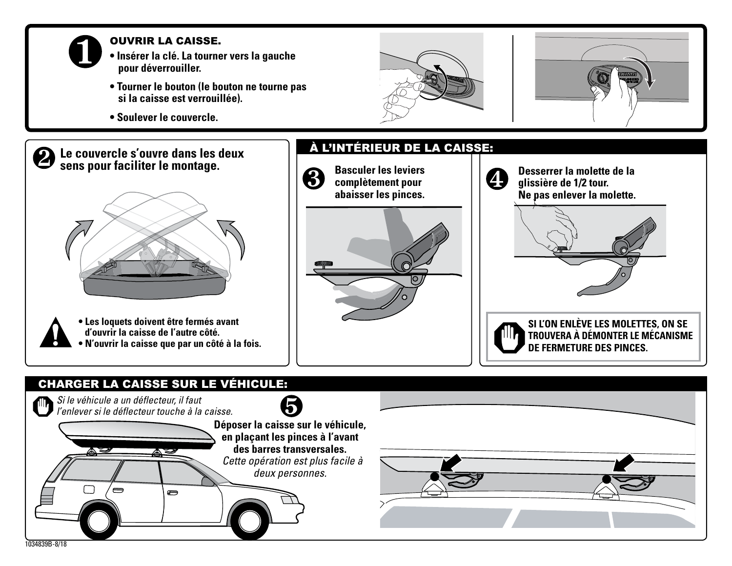

#### Ouvrir la caisse.

- **Insérer la clé. La tourner vers la gauche pour déverrouiller.**
- **Tourner le bouton (le bouton ne tourne pas si la caisse est verrouillée).**
- **Soulever le couvercle.**





#### **Le couvercle s'ouvre dans les deux**   $\mathbf{2}$ **sens pour faciliter le montage.**



**• Les loquets doivent être fermés avant d'ouvrir la caisse de l'autre côté. • N'ouvrir la caisse que par un côté à la fois.**

# **Basculer les leviers**  3 **complètement pour abaisser les pinces.**

À L'INTÉRIEUR DE LA CAISSE:



**Desserrer la molette de la glissière de 1/2 tour. Ne pas enlever la molette.**



## CHARGER LA CAISSE SUR LE VÉHICULE: *Si le véhicule a un déflecteur, il faut l'enlever si le déflecteur touche à la caisse.* **Déposer la caisse sur le véhicule, en plaçant les pinces à l'avant des barres transversales.**  *Cette opération est plus facile à deux personnes.* Ò 1034839B-8/18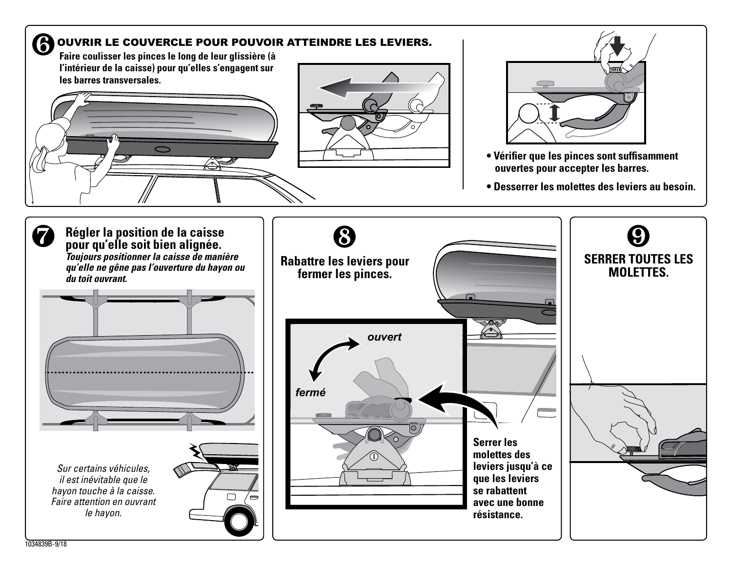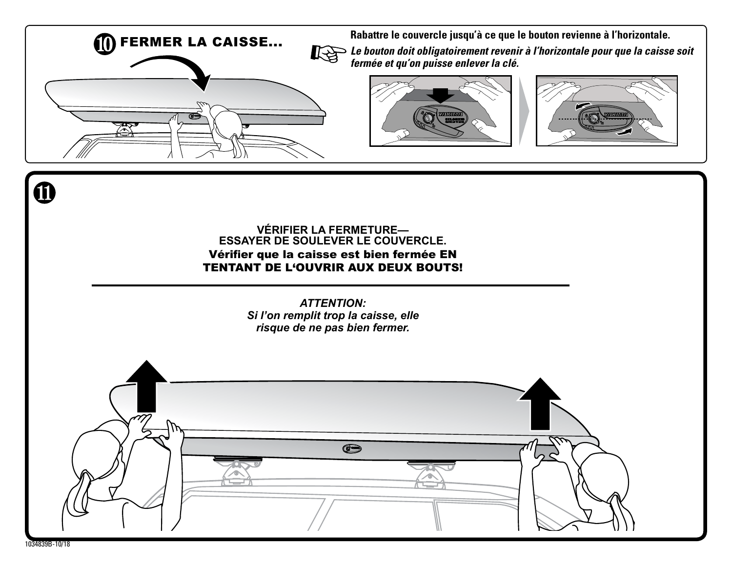

**FERMER LA CAISSE...** Rabattre le couvercle jusqu'à ce que le bouton revienne à l'horizontale. **Le bouton doit obligatoirement revenir à l'horizontale pour que la caisse soit de la caisse de la caisse de la** *fermée et qu'on puisse enlever la clé.*





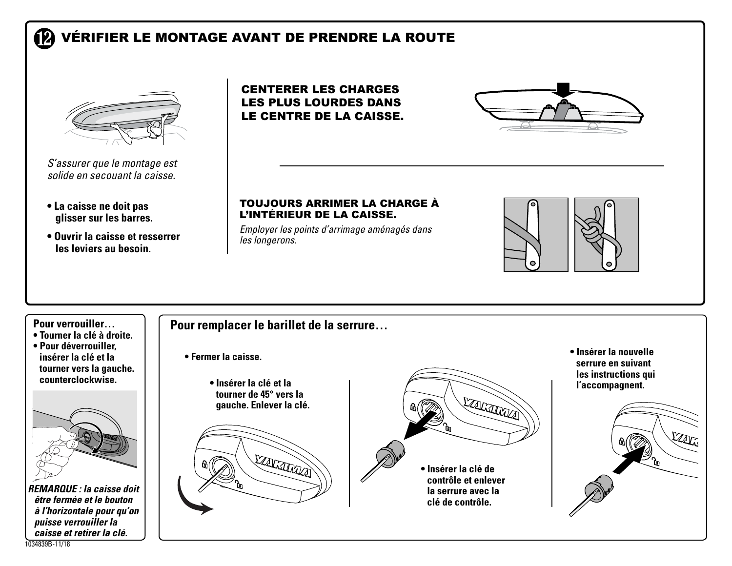#### **12** VÉRIFIER LE MONTAGE AVANT DE PRENDRE LA ROUTE



*S'assurer que le montage est solide en secouant la caisse.*

- **La caisse ne doit pas glisser sur les barres.**
- **Ouvrir la caisse et resserrer les leviers au besoin.**

Centerer les charges les plus lourdes dans le centre de la caisse.



#### Toujours arrimer la charge à l'intérieur de la caisse.

*Employer les points d'arrimage aménagés dans les longerons.*



#### **Pour verrouiller…**

- **Tourner la clé à droite.**
- **Pour déverrouiller, insérer la clé et la tourner vers la gauche. counterclockwise.**



*REMARQUE : la caisse doit être fermée et le bouton à l'horizontale pour qu'on puisse verrouiller la caisse et retirer la clé.*

#### **Pour remplacer le barillet de la serrure…**

- **Fermer la caisse.**
	- **Insérer la clé et la tourner de 45° vers la gauche. Enlever la clé.**





**• Insérer la nouvelle serrure en suivant les instructions qui l'accompagnent.** 



1034839B-11/18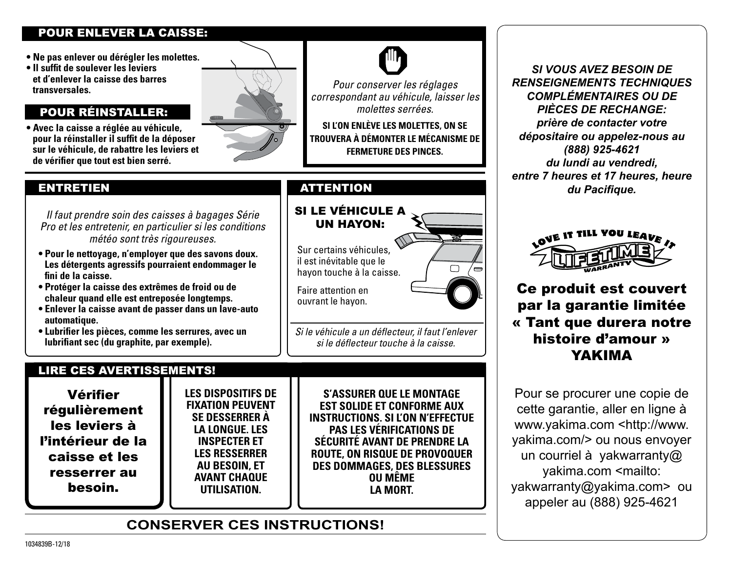#### POUR ENLEVER LA CAISSE:

- **Ne pas enlever ou dérégler les molettes.**
- **Il suffit de soulever les leviers et d'enlever la caisse des barres transversales.**

#### pour réinstaller:

**• Avec la caisse a réglée au véhicule, pour la réinstaller il suffit de la déposer sur le véhicule, de rabattre les leviers et de vérifier que tout est bien serré.**



#### ENTRETIEN

*Il faut prendre soin des caisses à bagages Série Pro et les entretenir, en particulier si les conditions météo sont très rigoureuses.*

- **Pour le nettoyage, n'employer que des savons doux. Les détergents agressifs pourraient endommager le fini de la caisse.**
- **Protéger la caisse des extrêmes de froid ou de chaleur quand elle est entreposée longtemps.**
- **Enlever la caisse avant de passer dans un lave-auto automatique.**
- **Lubrifier les pièces, comme les serrures, avec un lubrifiant sec (du graphite, par exemple).**

#### LIRE CES AVERTISSEMENTS!

Vérifier régulièrement les leviers à l'intérieur de la caisse et les resserrer au besoin.

**Les dispositifs de fixation peuvent se desserrer à la longue. Les inspecter et les resserrer au besoin, et avant chaque utilisation.**

**S'assurer que le montage est solide et conforme aux instructions. Si l'on n'effectue pas les vérifications de sécurité avant de prendre la route, on risque de provoquer des dommages, des blessures ou même la mort.**

#### **CONSERVER CES INSTRUCTIONS!**



 $\Box$ 

**SI L'ON ENLÈVE LES MOLETTES, ON SE TROUVERA À DÉMONTER LE MÉCANISME DE FERMETURE DES PINCES.**

#### SI LE VÉHICULE A UN HAYON:

Sur certains véhicules, il est inévitable que le hayon touche à la caisse.

Faire attention en ouvrant le hayon.

*Si le véhicule a un déflecteur, il faut l'enlever si le déflecteur touche à la caisse.* 

*Si vous avez besoin de renseignements techniques complémentaires ou de pièces de rechange: prière de contacter votre dépositaire ou appelez-nous au (888) 925-4621 du lundi au vendredi, entre 7 heures et 17 heures, heure*  attention *du Pacifique.*



Ce produit est couvert par la garantie limitée « Tant que durera notre histoire d'amour » YAKIMA

Pour se procurer une copie de cette garantie, aller en ligne à www.yakima.com <http://www. yakima.com/> ou nous envoyer un courriel à yakwarranty@ yakima.com <mailto: yakwarranty@yakima.com> ou appeler au (888) 925-4621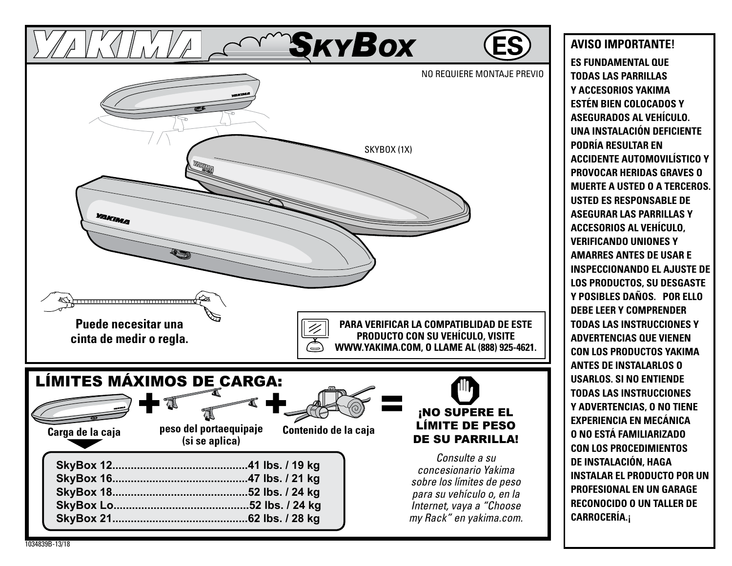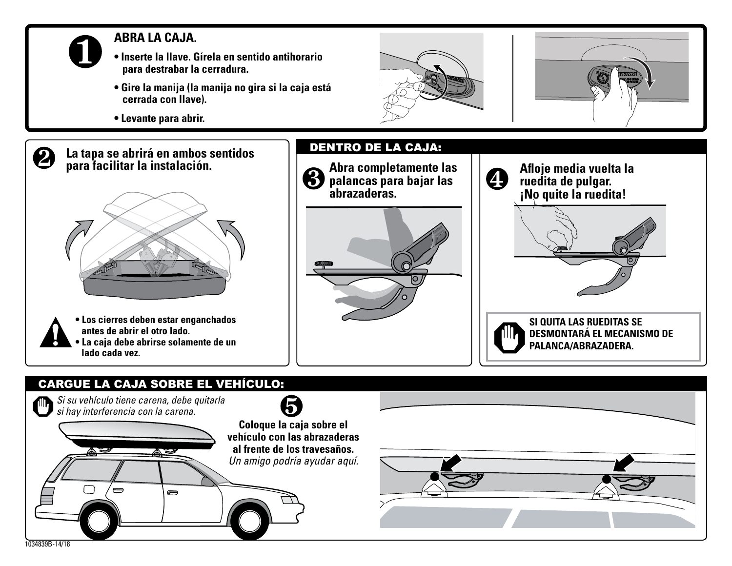

 $\mathbf{2}$ 

#### **ABRA LA CAJA.**

- **Inserte la llave. Gírela en sentido antihorario para destrabar la cerradura.**
- **Gire la manija (la manija no gira si la caja está cerrada con llave).**
- **Levante para abrir.**

**para facilitar la instalación.**

**antes de abrir el otro lado.**

**lado cada vez.**







# **CARGUE LA CAJA SOBRE EL VEHÍCULO:** *Si su vehículo tiene carena, debe quitarla si hay interferencia con la carena.***Coloque la caja sobre el vehículo con las abrazaderas al frente de los travesaños.** *Un amigo podría ayudar aquí.*  $\equiv$ Ò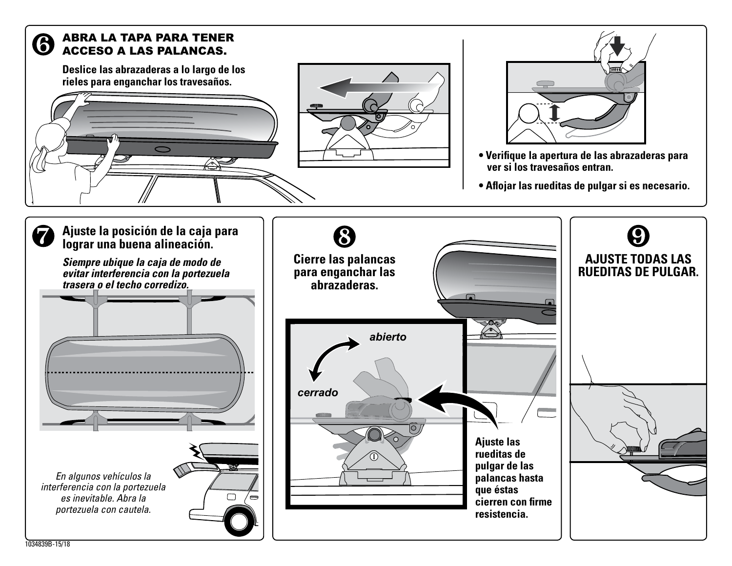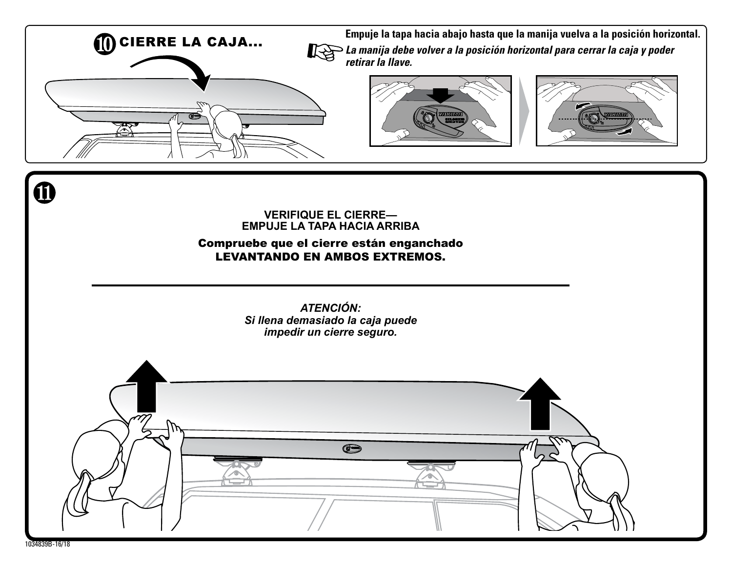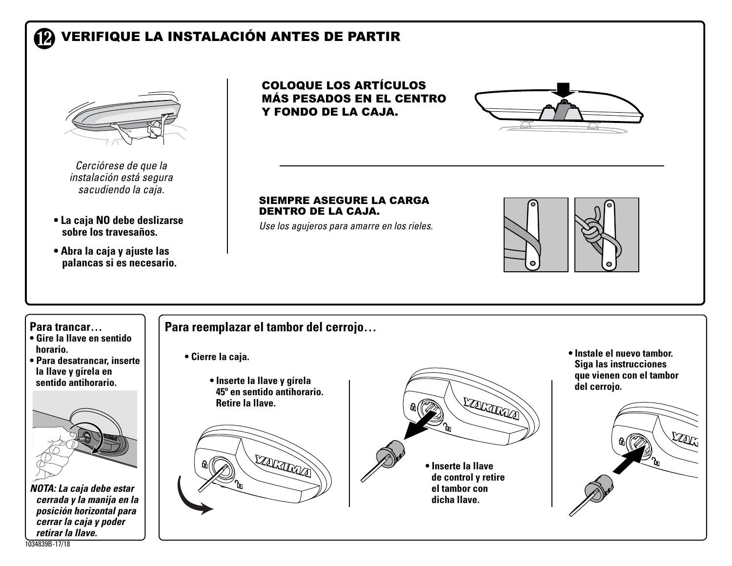#### **VERIFIQUE LA INSTALACIÓN ANTES DE PARTIR 12**



*Cerciórese de que la instalación está segura sacudiendo la caja.*

- **La caja NO debe deslizarse sobre los travesaños.**
- **Abra la caja y ajuste las palancas si es necesario.**

Coloque los artículos más pesados en el centro y fondo de la caja.



#### Siempre asegure la carga dentro de la caja.

*Use los agujeros para amarre en los rieles.*



#### **Para trancar…**

- **Gire la llave en sentido horario.**
- **Para desatrancar, inserte la llave y gírela en**



*NOTA: La caja debe estar cerrada y la manija en la posición horizontal para cerrar la caja y poder retirar la llave.*

#### **Para reemplazar el tambor del cerrojo…**

- **Cierre la caja.**
	- **sentido antihorario. Inserte la llave y gírela 45º en sentido antihorario. Retire la llave.**





**• Instale el nuevo tambor. Siga las instrucciones que vienen con el tambor del cerrojo.**



1034839B-17/18